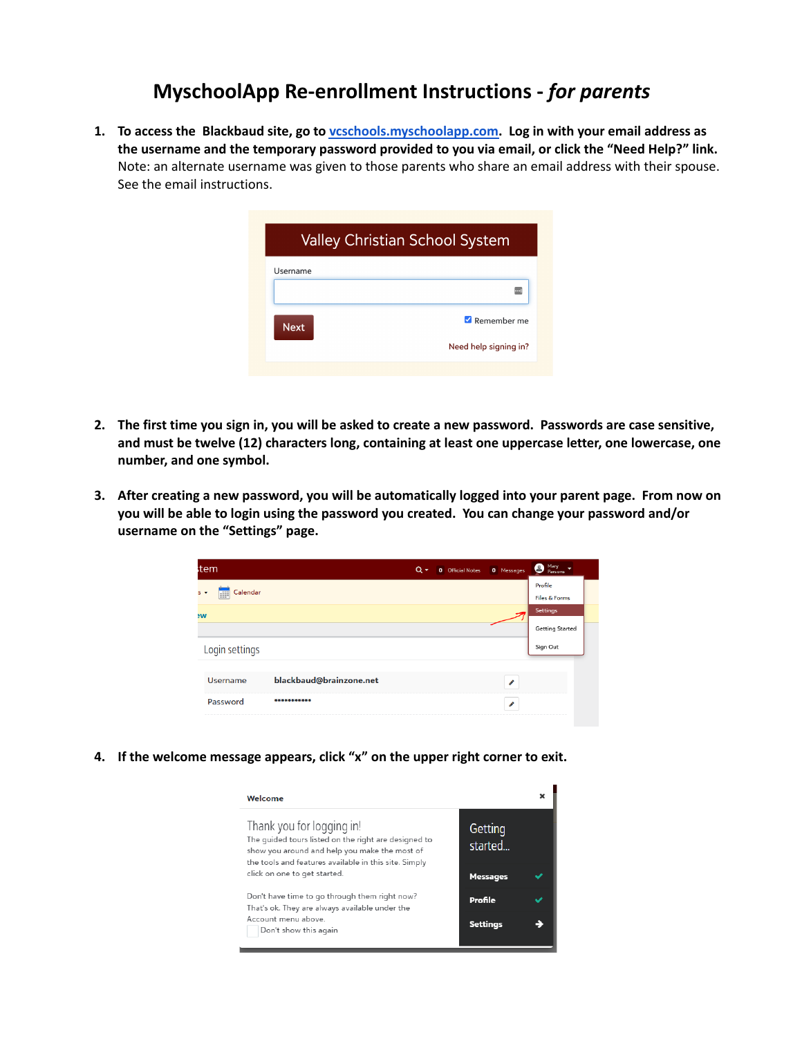## **MyschoolApp Re-enrollment Instructions -** *for parents*

**1. To access the Blackbaud site, go to [vcschools.myschoolapp.com.](https://vcschools.myschoolapp.com/app/#login) Log in with your email address as the username and the temporary password provided to you via email, or click the "Need Help?" link.** Note: an alternate username was given to those parents who share an email address with their spouse. See the email instructions.

| <b>Valley Christian School System</b> |                       |  |
|---------------------------------------|-----------------------|--|
| Username                              |                       |  |
|                                       |                       |  |
| <b>Next</b>                           | Remember me           |  |
|                                       | Need help signing in? |  |

- 2. The first time you sign in, you will be asked to create a new password. Passwords are case sensitive, **and must be twelve (12) characters long, containing at least one uppercase letter, one lowercase, one number, and one symbol.**
- 3. After creating a new password, you will be automatically logged into your parent page. From now on **you will be able to login using the password you created. You can change your password and/or username on the "Settings" page.**

| tem.<br>$Q +$<br><b>0</b> Official Notes<br>0 Messages | Mary<br>Parsons        |
|--------------------------------------------------------|------------------------|
| Calendar                                               | Profile                |
| $S -$<br>s                                             | Files & Forms          |
| w                                                      | <b>Settings</b>        |
|                                                        | <b>Getting Started</b> |
| Login settings                                         | Sign Out               |
|                                                        |                        |
| blackbaud@brainzone.net<br><b>Username</b><br>◢        |                        |
| Password<br>***********<br>◢                           |                        |

**4. If the welcome message appears, click "x" on the upper right corner to exit.**

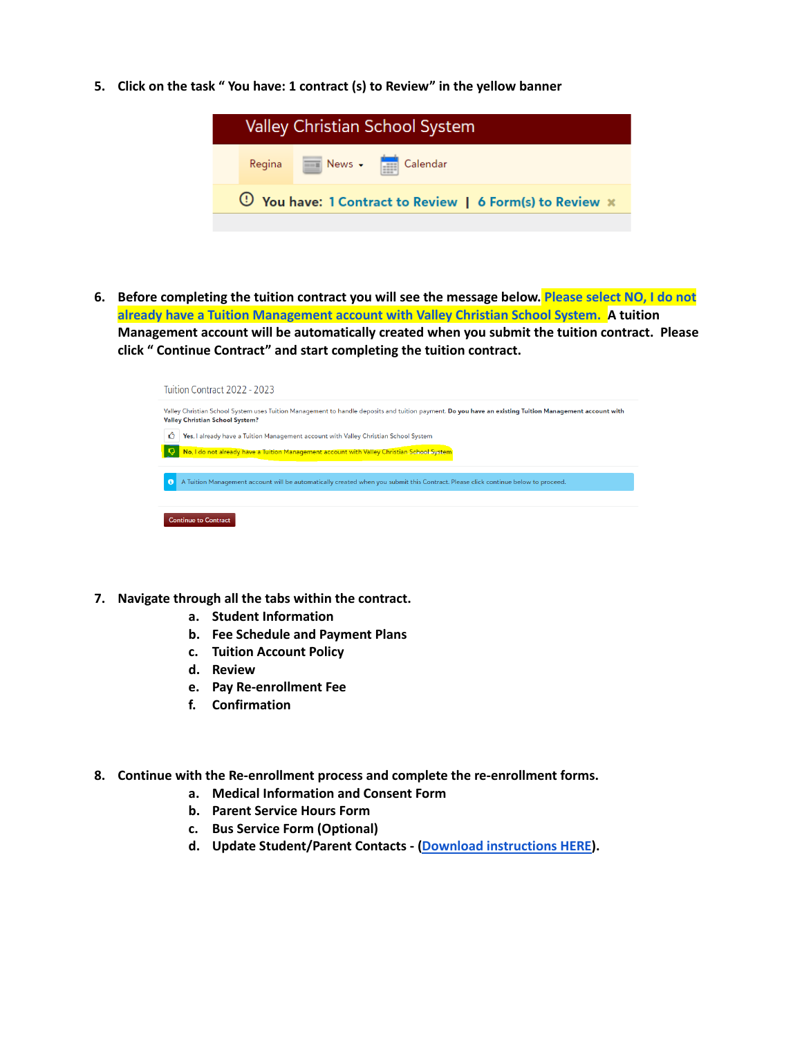**5. Click on the task " You have: 1 contract (s) to Review" in the yellow banner**



6. Before completing the tuition contract you will see the message below. Please select NO, I do not **already have a Tuition Management account with Valley Christian School System. A tuition Management account will be automatically created when you submit the tuition contract. Please click " Continue Contract" and start completing the tuition contract.**

| Tuition Contract 2022 - 2023                                                                                                                                                              |
|-------------------------------------------------------------------------------------------------------------------------------------------------------------------------------------------|
| Valley Christian School System uses Tuition Management to handle deposits and tuition payment. Do you have an existing Tuition Management account with<br>Valley Christian School System? |
| Ô<br>Yes, I already have a Tuition Management account with Valley Christian School System<br>No, I do not already have a Tuition Management account with Valley Christian School System   |
| $\mathbf{6}$<br>A Tuition Management account will be automatically created when you submit this Contract. Please click continue below to proceed.                                         |
| <b>Continue to Contract</b>                                                                                                                                                               |

- **7. Navigate through all the tabs within the contract.**
	- **a. Student Information**
	- **b. Fee Schedule and Payment Plans**
	- **c. Tuition Account Policy**
	- **d. Review**
	- **e. Pay Re-enrollment Fee**
	- **f. Confirmation**
- **8. Continue with the Re-enrollment process and complete the re-enrollment forms.**
	- **a. Medical Information and Consent Form**
	- **b. Parent Service Hours Form**
	- **c. Bus Service Form (Optional)**
	- **d. Update Student/Parent Contacts - (Download [instructions](https://drive.google.com/file/d/1L2O_qmNC9yfHBiV3AvLLXn1PqZk0W6DX/view?usp=sharing) HERE).**